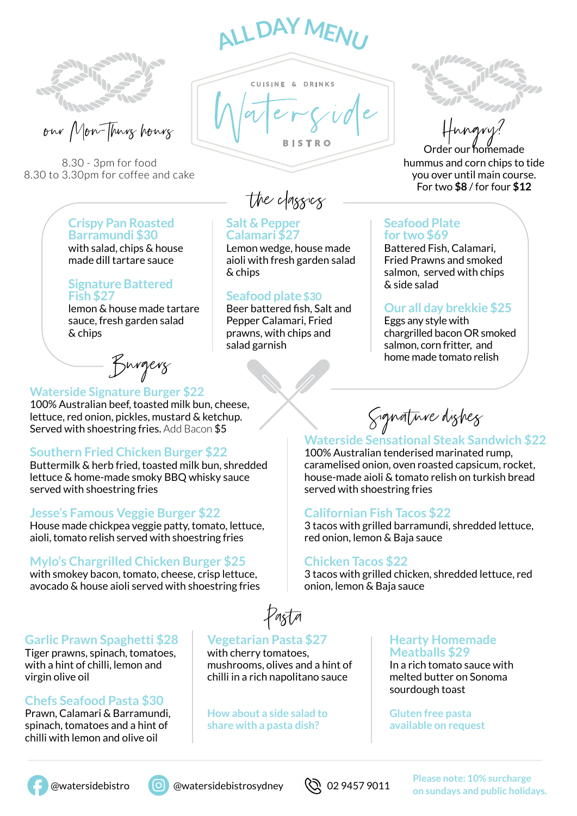$\mathbf{A} \mathbf{A} \mathbf{D} \mathbf{A} \mathbf{A} \mathbf{M}$ 

**CUISINE & DRINKS** 

**Salt & Pepper Calamari \$27**

& chips

Lemon wedge, house made aioli with fresh garden salad

Beer battered fish, Salt and Pepper Calamari, Fried prawns, with chips and

**Seafood plate \$30**

salad garnish



Won-Hurry hours

8.30 - 3pm for food 8.30 to 3.30pm for coffee and cake

#### **Crispy Pan Roasted Barramundi \$30** with salad, chips & house made dill tartare sauce

#### **Signature Battered Fish \$27**

lemon & house made tartare sauce, fresh garden salad & chips

Burgers

#### **Waterside Signature Burger \$22**

100% Australian beef, toasted milk bun, cheese, lettuce, red onion, pickles, mustard & ketchup. Served with shoestring fries. Add Bacon \$5

## **Southern Fried Chicken Burger \$22**

Buttermilk & herb fried, toasted milk bun, shredded lettuce & home-made smoky BBQ whisky sauce served with shoestring fries

## **Jesse's Famous Veggie Burger \$22**

House made chickpea veggie patty, tomato, lettuce, aioli, tomato relish served with shoestring fries

# **Mylo's Chargrilled Chicken Burger \$25**

with smokey bacon, tomato, cheese, crisp lettuce, avocado & house aioli served with shoestring fries

## **Garlic Prawn Spaghetti \$28**

Tiger prawns, spinach, tomatoes, with a hint of chilli, lemon and virgin olive oil

# **Chefs Seafood Pasta \$30**

Prawn, Calamari & Barramundi, spinach, tomatoes and a hint of chilli with lemon and olive oil

Pasta

# **Vegetarian Pasta \$27**

with cherry tomatoes, mushrooms, olives and a hint of chilli in a rich napolitano sauce

**How about a side salad to share with a pasta dish?**

Order our homemade hummus and corn chips to tide you over until main course. For two \$8 / for four \$12

# **Seafood Plate for two \$69**

Battered Fish, Calamari, Fried Prawns and smoked salmon, served with chips & side salad

# **Our all day brekkie \$25**

Eggs any style with chargrilled bacon OR smoked salmon, corn fritter, and home made tomato relish

Signature dishes

# **Waterside Sensational Steak Sandwich \$22**

100% Australian tenderised marinated rump, caramelised onion, oven roasted capsicum, rocket, house-made aioli & tomato relish on turkish bread served with shoestring fries

## **Californian Fish Tacos \$22**

3 tacos with grilled barramundi, shredded lettuce, red onion, lemon & Baja sauce

#### **Chicken Tacos \$22**

3 tacos with grilled chicken, shredded lettuce, red onion, lemon & Baja sauce

#### **Hearty Homemade Meatballs \$29**

In a rich tomato sauce with melted butter on Sonoma sourdough toast

**Gluten free pasta available on request**





 @watersidebistro @watersidebistrosydney **Please note: 10% surcharge**  on sundays and public holidays.